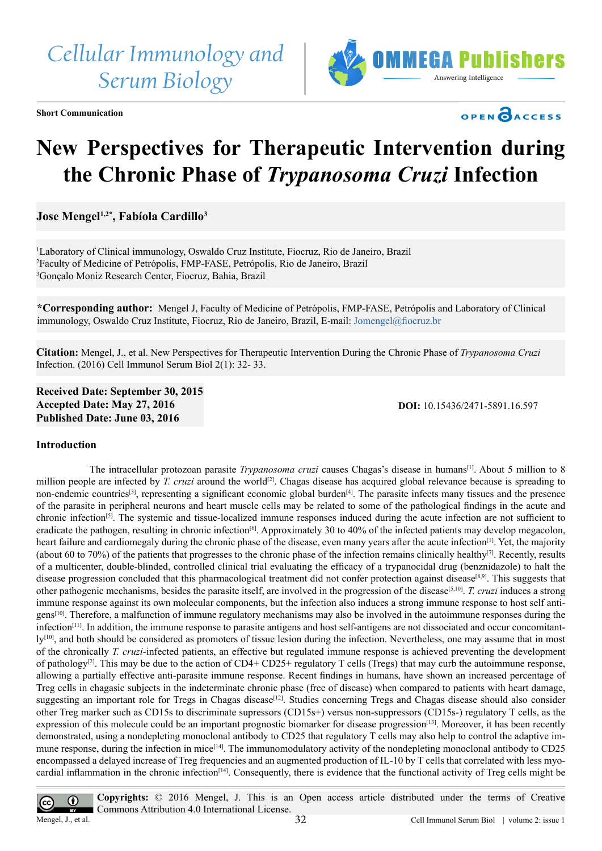*Cellular Immunology and Serum Biology*



**Short Communication**



# **New Perspectives for Therapeutic Intervention during the Chronic Phase of** *Trypanosoma Cruzi* **Infection**

Jose Mengel<sup>1,2\*</sup>, Fabíola Cardillo<sup>3</sup>

1 Laboratory of Clinical immunology, Oswaldo Cruz Institute, Fiocruz, Rio de Janeiro, Brazil 2 Faculty of Medicine of Petrópolis, FMP-FASE, Petrópolis, Rio de Janeiro, Brazil 3 Gonçalo Moniz Research Center, Fiocruz, Bahia, Brazil

**\*Corresponding author:** Mengel J, Faculty of Medicine of Petrópolis, FMP-FASE, Petrópolis and Laboratory of Clinical immunology, Oswaldo Cruz Institute, Fiocruz, Rio de Janeiro, Brazil, E-mail: [Jomengel@fiocruz.br](mailto:Jomengel%40fiocruz.br?subject=)

**Citation:** Mengel, J., et al. New Perspectives for Therapeutic Intervention During the Chronic Phase of *Trypanosoma Cruzi* Infection. (2016) Cell Immunol Serum Biol 2(1): 32- 33.

**Received Date: September 30, 2015 Accepted Date: May 27, 2016 Published Date: June 03, 2016**

**DOI:** [10.15436/2471-5891.16.](http://www.dx.doi.org/10.15436/2471-5891.16.597
)597

# **Introduction**

 The intracellular protozoan parasite *Trypanosoma cruzi* causes Chagas's disease in humans[\[1\].](#page-1-0) About 5 million to 8 million people are infected by *T. cruzi* around the world<sup>[2]</sup>. Chagas disease has acquired global relevance because is spreading to non-endemic countries<sup>[\[3\]](#page-1-2)</sup>, representing a significant economic global burden<sup>[\[4\]](#page-1-3)</sup>. The parasite infects many tissues and the presence of the parasite in peripheral neurons and heart muscle cells may be related to some of the pathological findings in the acute and chronic infection[\[5\]](#page-1-4). The systemic and tissue-localized immune responses induced during the acute infection are not sufficient to eradicate the pathogen, resulting in chronic infection<sup>[6]</sup>. Approximately 30 to 40% of the infected patients may develop megacolon, heart failure and cardiomegaly during the chronic phase of the disease, even many years after the acute infection<sup>[\[1\]](#page-1-0)</sup>. Yet, the majority (about 60 to 70%) of the patients that progresses to the chronic phase of the infection remains clinically healthy[\[7\]](#page-1-6). Recently, results of a multicenter, double-blinded, controlled clinical trial evaluating the efficacy of a trypanocidal drug (benznidazole) to halt the disease progression concluded that this pharmacological treatment did not confer protection against disease<sup>[8,9]</sup>. This suggests that other pathogenic mechanisms, besides the parasite itself, are involved in the progression of the disease[\[5,10\].](#page-1-4) *T. cruzi* induces a strong immune response against its own molecular components, but the infection also induces a strong immune response to host self antigen[s\[10\].](#page-1-8) Therefore, a malfunction of immune regulatory mechanisms may also be involved in the autoimmune responses during the infection $[11]$ . In addition, the immune response to parasite antigens and host self-antigens are not dissociated and occur concomitant- $1y^{[10]}$  $1y^{[10]}$  $1y^{[10]}$ , and both should be considered as promoters of tissue lesion during the infection. Nevertheless, one may assume that in most of the chronically *T. cruzi*-infected patients, an effective but regulated immune response is achieved preventing the development of pathology<sup>[2]</sup>. This may be due to the action of CD4+ CD25+ regulatory T cells (Tregs) that may curb the autoimmune response, allowing a partially effective anti-parasite immune response. Recent findings in humans, have shown an increased percentage of Treg cells in chagasic subjects in the indeterminate chronic phase (free of disease) when compared to patients with heart damage, suggesting an important role for Tregs in Chagas disease<sup>[12]</sup>. Studies concerning Tregs and Chagas disease should also consider other Treg marker such as CD15s to discriminate supressors (CD15s+) versus non-suppressors (CD15s-) regulatory T cells, as the expression of this molecule could be an important prognostic biomarker for disease progression<sup>[\[13\]](#page-1-11)</sup>. Moreover, it has been recently demonstrated, using a nondepleting monoclonal antibody to CD25 that regulatory T cells may also help to control the adaptive immune response, during the infection in mice<sup>[14]</sup>. The immunomodulatory activity of the nondepleting monoclonal antibody to CD25 encompassed a delayed increase of Treg frequencies and an augmented production of IL-10 by T cells that correlated with less myocardial inflammation in the chronic infection<sup>[14]</sup>. Consequently, there is evidence that the functional activity of Treg cells might be

**Copyrights:** © 2016 Mengel, J. This is an Open access article distributed under the terms of Creative  $\bigcirc$  $\epsilon$ Commons Attribution 4.0 International License. Mengel, J., et al. 2. issue 1 and 32 Cell Immunol Serum Biol | volume 2: issue 1